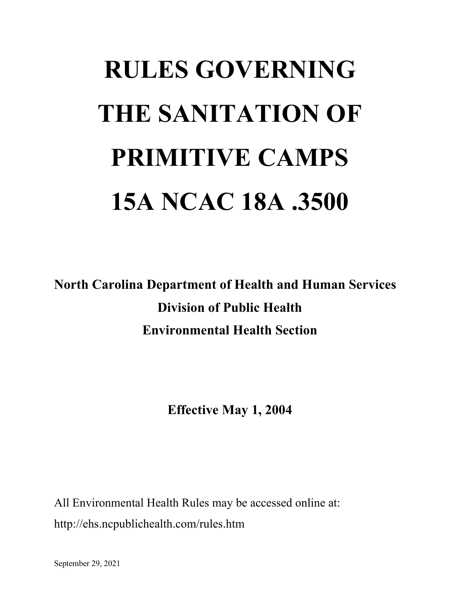# **RULES GOVERNING THE SANITATION OF PRIMITIVE CAMPS 15A NCAC 18A .3500**

**North Carolina Department of Health and Human Services Division of Public Health Environmental Health Section**

**Effective May 1, 2004**

All Environmental Health Rules may be accessed online at: http://ehs.ncpublichealth.com/rules.htm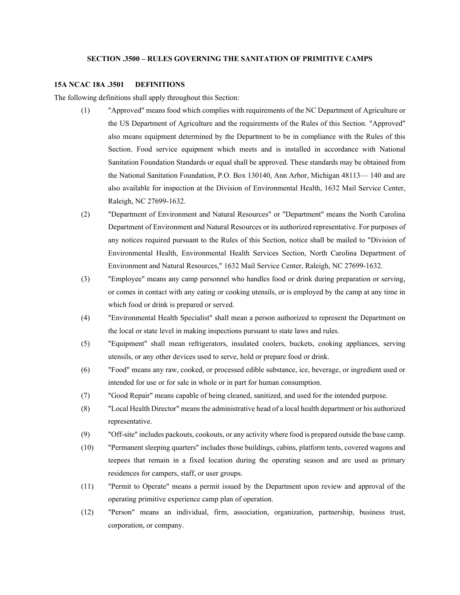## **SECTION .3500 – RULES GOVERNING THE SANITATION OF PRIMITIVE CAMPS**

#### **15A NCAC 18A .3501 DEFINITIONS**

The following definitions shall apply throughout this Section:

- (1) "Approved" means food which complies with requirements of the NC Department of Agriculture or the US Department of Agriculture and the requirements of the Rules of this Section. "Approved" also means equipment determined by the Department to be in compliance with the Rules of this Section. Food service equipment which meets and is installed in accordance with National Sanitation Foundation Standards or equal shall be approved. These standards may be obtained from the National Sanitation Foundation, P.O. Box 130140, Ann Arbor, Michigan 48113— 140 and are also available for inspection at the Division of Environmental Health, 1632 Mail Service Center, Raleigh, NC 27699-1632.
- (2) "Department of Environment and Natural Resources" or "Department" means the North Carolina Department of Environment and Natural Resources or its authorized representative. For purposes of any notices required pursuant to the Rules of this Section, notice shall be mailed to "Division of Environmental Health, Environmental Health Services Section, North Carolina Department of Environment and Natural Resources," 1632 Mail Service Center, Raleigh, NC 27699-1632.
- (3) "Employee" means any camp personnel who handles food or drink during preparation or serving, or comes in contact with any eating or cooking utensils, or is employed by the camp at any time in which food or drink is prepared or served.
- (4) "Environmental Health Specialist" shall mean a person authorized to represent the Department on the local or state level in making inspections pursuant to state laws and rules.
- (5) "Equipment" shall mean refrigerators, insulated coolers, buckets, cooking appliances, serving utensils, or any other devices used to serve, hold or prepare food or drink.
- (6) "Food" means any raw, cooked, or processed edible substance, ice, beverage, or ingredient used or intended for use or for sale in whole or in part for human consumption.
- (7) "Good Repair" means capable of being cleaned, sanitized, and used for the intended purpose.
- (8) "Local Health Director" means the administrative head of a local health department or his authorized representative.
- (9) "Off-site" includes packouts, cookouts, or any activity where food is prepared outside the base camp.
- (10) "Permanent sleeping quarters" includes those buildings, cabins, platform tents, covered wagons and teepees that remain in a fixed location during the operating season and are used as primary residences for campers, staff, or user groups.
- (11) "Permit to Operate" means a permit issued by the Department upon review and approval of the operating primitive experience camp plan of operation.
- (12) "Person" means an individual, firm, association, organization, partnership, business trust, corporation, or company.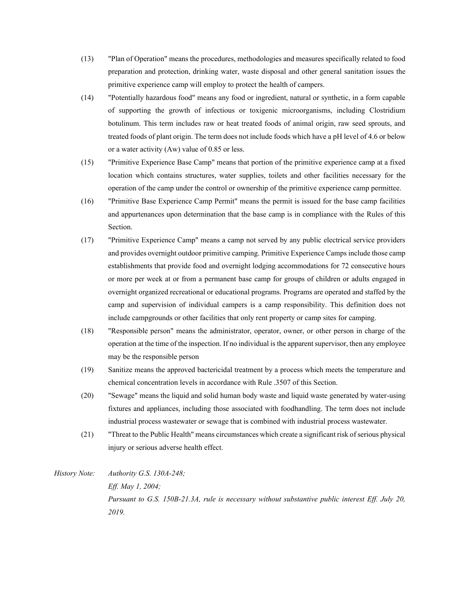- (13) "Plan of Operation" means the procedures, methodologies and measures specifically related to food preparation and protection, drinking water, waste disposal and other general sanitation issues the primitive experience camp will employ to protect the health of campers.
- (14) "Potentially hazardous food" means any food or ingredient, natural or synthetic, in a form capable of supporting the growth of infectious or toxigenic microorganisms, including Clostridium botulinum. This term includes raw or heat treated foods of animal origin, raw seed sprouts, and treated foods of plant origin. The term does not include foods which have a pH level of 4.6 or below or a water activity (Aw) value of 0.85 or less.
- (15) "Primitive Experience Base Camp" means that portion of the primitive experience camp at a fixed location which contains structures, water supplies, toilets and other facilities necessary for the operation of the camp under the control or ownership of the primitive experience camp permittee.
- (16) "Primitive Base Experience Camp Permit" means the permit is issued for the base camp facilities and appurtenances upon determination that the base camp is in compliance with the Rules of this Section.
- (17) "Primitive Experience Camp" means a camp not served by any public electrical service providers and provides overnight outdoor primitive camping. Primitive Experience Camps include those camp establishments that provide food and overnight lodging accommodations for 72 consecutive hours or more per week at or from a permanent base camp for groups of children or adults engaged in overnight organized recreational or educational programs. Programs are operated and staffed by the camp and supervision of individual campers is a camp responsibility. This definition does not include campgrounds or other facilities that only rent property or camp sites for camping.
- (18) "Responsible person" means the administrator, operator, owner, or other person in charge of the operation at the time of the inspection. If no individual is the apparent supervisor, then any employee may be the responsible person
- (19) Sanitize means the approved bactericidal treatment by a process which meets the temperature and chemical concentration levels in accordance with Rule .3507 of this Section.
- (20) "Sewage" means the liquid and solid human body waste and liquid waste generated by water-using fixtures and appliances, including those associated with foodhandling. The term does not include industrial process wastewater or sewage that is combined with industrial process wastewater.
- (21) "Threat to the Public Health" means circumstances which create a significant risk of serious physical injury or serious adverse health effect.
- *History Note: Authority G.S. 130A-248; Eff. May 1, 2004; Pursuant to G.S. 150B-21.3A, rule is necessary without substantive public interest Eff. July 20, 2019.*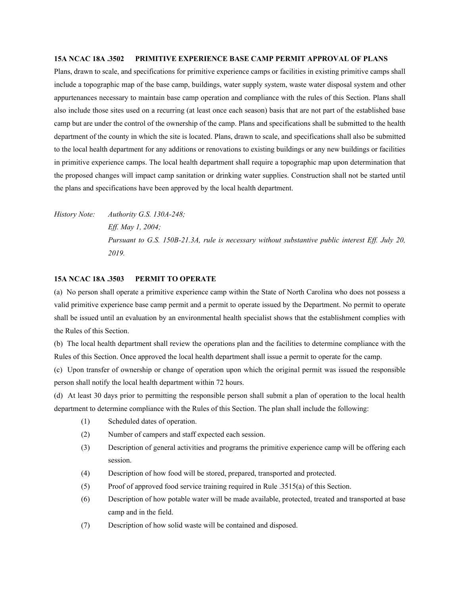### **15A NCAC 18A .3502 PRIMITIVE EXPERIENCE BASE CAMP PERMIT APPROVAL OF PLANS**

Plans, drawn to scale, and specifications for primitive experience camps or facilities in existing primitive camps shall include a topographic map of the base camp, buildings, water supply system, waste water disposal system and other appurtenances necessary to maintain base camp operation and compliance with the rules of this Section. Plans shall also include those sites used on a recurring (at least once each season) basis that are not part of the established base camp but are under the control of the ownership of the camp. Plans and specifications shall be submitted to the health department of the county in which the site is located. Plans, drawn to scale, and specifications shall also be submitted to the local health department for any additions or renovations to existing buildings or any new buildings or facilities in primitive experience camps. The local health department shall require a topographic map upon determination that the proposed changes will impact camp sanitation or drinking water supplies. Construction shall not be started until the plans and specifications have been approved by the local health department.

*History Note: Authority G.S. 130A-248; Eff. May 1, 2004; Pursuant to G.S. 150B-21.3A, rule is necessary without substantive public interest Eff. July 20, 2019.*

## **15A NCAC 18A .3503 PERMIT TO OPERATE**

(a) No person shall operate a primitive experience camp within the State of North Carolina who does not possess a valid primitive experience base camp permit and a permit to operate issued by the Department. No permit to operate shall be issued until an evaluation by an environmental health specialist shows that the establishment complies with the Rules of this Section.

(b) The local health department shall review the operations plan and the facilities to determine compliance with the Rules of this Section. Once approved the local health department shall issue a permit to operate for the camp.

(c) Upon transfer of ownership or change of operation upon which the original permit was issued the responsible person shall notify the local health department within 72 hours.

(d) At least 30 days prior to permitting the responsible person shall submit a plan of operation to the local health department to determine compliance with the Rules of this Section. The plan shall include the following:

- (1) Scheduled dates of operation.
- (2) Number of campers and staff expected each session.
- (3) Description of general activities and programs the primitive experience camp will be offering each session.
- (4) Description of how food will be stored, prepared, transported and protected.
- (5) Proof of approved food service training required in Rule .3515(a) of this Section.
- (6) Description of how potable water will be made available, protected, treated and transported at base camp and in the field.
- (7) Description of how solid waste will be contained and disposed.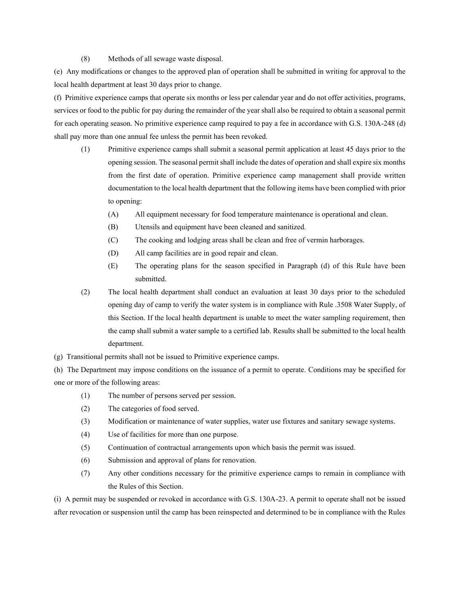## (8) Methods of all sewage waste disposal.

(e) Any modifications or changes to the approved plan of operation shall be submitted in writing for approval to the local health department at least 30 days prior to change.

(f) Primitive experience camps that operate six months or less per calendar year and do not offer activities, programs, services or food to the public for pay during the remainder of the year shall also be required to obtain a seasonal permit for each operating season. No primitive experience camp required to pay a fee in accordance with G.S. 130A-248 (d) shall pay more than one annual fee unless the permit has been revoked.

- (1) Primitive experience camps shall submit a seasonal permit application at least 45 days prior to the opening session. The seasonal permit shall include the dates of operation and shall expire six months from the first date of operation. Primitive experience camp management shall provide written documentation to the local health department that the following items have been complied with prior to opening:
	- (A) All equipment necessary for food temperature maintenance is operational and clean.
	- (B) Utensils and equipment have been cleaned and sanitized.
	- (C) The cooking and lodging areas shall be clean and free of vermin harborages.
	- (D) All camp facilities are in good repair and clean.
	- (E) The operating plans for the season specified in Paragraph (d) of this Rule have been submitted.
- (2) The local health department shall conduct an evaluation at least 30 days prior to the scheduled opening day of camp to verify the water system is in compliance with Rule .3508 Water Supply, of this Section. If the local health department is unable to meet the water sampling requirement, then the camp shall submit a water sample to a certified lab. Results shall be submitted to the local health department.
- (g) Transitional permits shall not be issued to Primitive experience camps.

(h) The Department may impose conditions on the issuance of a permit to operate. Conditions may be specified for one or more of the following areas:

- (1) The number of persons served per session.
- (2) The categories of food served.
- (3) Modification or maintenance of water supplies, water use fixtures and sanitary sewage systems.
- (4) Use of facilities for more than one purpose.
- (5) Continuation of contractual arrangements upon which basis the permit was issued.
- (6) Submission and approval of plans for renovation.
- (7) Any other conditions necessary for the primitive experience camps to remain in compliance with the Rules of this Section.

(i) A permit may be suspended or revoked in accordance with G.S. 130A-23. A permit to operate shall not be issued after revocation or suspension until the camp has been reinspected and determined to be in compliance with the Rules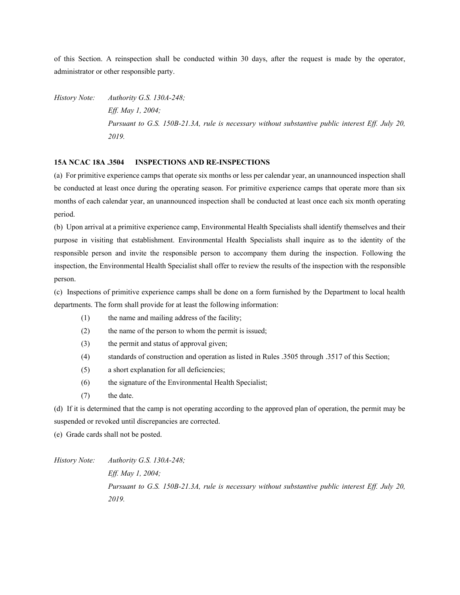of this Section. A reinspection shall be conducted within 30 days, after the request is made by the operator, administrator or other responsible party.

*History Note: Authority G.S. 130A-248; Eff. May 1, 2004; Pursuant to G.S. 150B-21.3A, rule is necessary without substantive public interest Eff. July 20, 2019.*

# **15A NCAC 18A .3504 INSPECTIONS AND RE-INSPECTIONS**

(a) For primitive experience camps that operate six months or less per calendar year, an unannounced inspection shall be conducted at least once during the operating season. For primitive experience camps that operate more than six months of each calendar year, an unannounced inspection shall be conducted at least once each six month operating period.

(b) Upon arrival at a primitive experience camp, Environmental Health Specialists shall identify themselves and their purpose in visiting that establishment. Environmental Health Specialists shall inquire as to the identity of the responsible person and invite the responsible person to accompany them during the inspection. Following the inspection, the Environmental Health Specialist shall offer to review the results of the inspection with the responsible person.

(c) Inspections of primitive experience camps shall be done on a form furnished by the Department to local health departments. The form shall provide for at least the following information:

- (1) the name and mailing address of the facility;
- (2) the name of the person to whom the permit is issued;
- (3) the permit and status of approval given;
- (4) standards of construction and operation as listed in Rules .3505 through .3517 of this Section;
- (5) a short explanation for all deficiencies;
- (6) the signature of the Environmental Health Specialist;
- (7) the date.

(d) If it is determined that the camp is not operating according to the approved plan of operation, the permit may be suspended or revoked until discrepancies are corrected.

(e) Grade cards shall not be posted.

*History Note: Authority G.S. 130A-248; Eff. May 1, 2004; Pursuant to G.S. 150B-21.3A, rule is necessary without substantive public interest Eff. July 20, 2019.*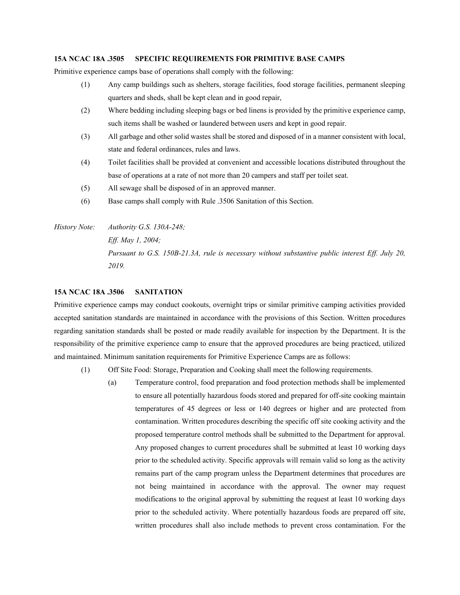## **15A NCAC 18A .3505 SPECIFIC REQUIREMENTS FOR PRIMITIVE BASE CAMPS**

Primitive experience camps base of operations shall comply with the following:

- (1) Any camp buildings such as shelters, storage facilities, food storage facilities, permanent sleeping quarters and sheds, shall be kept clean and in good repair,
- (2) Where bedding including sleeping bags or bed linens is provided by the primitive experience camp, such items shall be washed or laundered between users and kept in good repair.
- (3) All garbage and other solid wastes shall be stored and disposed of in a manner consistent with local, state and federal ordinances, rules and laws.
- (4) Toilet facilities shall be provided at convenient and accessible locations distributed throughout the base of operations at a rate of not more than 20 campers and staff per toilet seat.
- (5) All sewage shall be disposed of in an approved manner.
- (6) Base camps shall comply with Rule .3506 Sanitation of this Section.

*History Note: Authority G.S. 130A-248; Eff. May 1, 2004; Pursuant to G.S. 150B-21.3A, rule is necessary without substantive public interest Eff. July 20, 2019.*

#### **15A NCAC 18A .3506 SANITATION**

Primitive experience camps may conduct cookouts, overnight trips or similar primitive camping activities provided accepted sanitation standards are maintained in accordance with the provisions of this Section. Written procedures regarding sanitation standards shall be posted or made readily available for inspection by the Department. It is the responsibility of the primitive experience camp to ensure that the approved procedures are being practiced, utilized and maintained. Minimum sanitation requirements for Primitive Experience Camps are as follows:

- (1) Off Site Food: Storage, Preparation and Cooking shall meet the following requirements.
	- (a) Temperature control, food preparation and food protection methods shall be implemented to ensure all potentially hazardous foods stored and prepared for off-site cooking maintain temperatures of 45 degrees or less or 140 degrees or higher and are protected from contamination. Written procedures describing the specific off site cooking activity and the proposed temperature control methods shall be submitted to the Department for approval. Any proposed changes to current procedures shall be submitted at least 10 working days prior to the scheduled activity. Specific approvals will remain valid so long as the activity remains part of the camp program unless the Department determines that procedures are not being maintained in accordance with the approval. The owner may request modifications to the original approval by submitting the request at least 10 working days prior to the scheduled activity. Where potentially hazardous foods are prepared off site, written procedures shall also include methods to prevent cross contamination. For the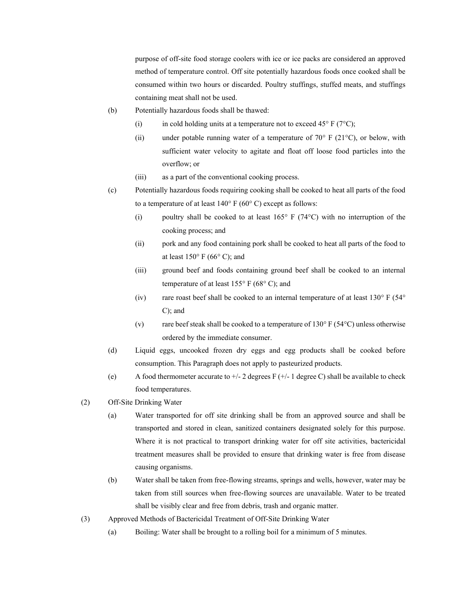purpose of off-site food storage coolers with ice or ice packs are considered an approved method of temperature control. Off site potentially hazardous foods once cooked shall be consumed within two hours or discarded. Poultry stuffings, stuffed meats, and stuffings containing meat shall not be used.

- (b) Potentially hazardous foods shall be thawed:
	- (i) in cold holding units at a temperature not to exceed 45 $\degree$  F (7 $\degree$ C);
	- (ii) under potable running water of a temperature of  $70^{\circ}$  F (21<sup>o</sup>C), or below, with sufficient water velocity to agitate and float off loose food particles into the overflow; or
	- (iii) as a part of the conventional cooking process.
- (c) Potentially hazardous foods requiring cooking shall be cooked to heat all parts of the food to a temperature of at least  $140^{\circ}$  F (60°C) except as follows:
	- (i) poultry shall be cooked to at least  $165^{\circ}$  F (74 $^{\circ}$ C) with no interruption of the cooking process; and
	- (ii) pork and any food containing pork shall be cooked to heat all parts of the food to at least  $150^{\circ}$  F (66 $^{\circ}$  C); and
	- (iii) ground beef and foods containing ground beef shall be cooked to an internal temperature of at least  $155^{\circ}$  F (68° C); and
	- (iv) rare roast beef shall be cooked to an internal temperature of at least  $130^{\circ}$  F (54 $^{\circ}$ ) C); and
	- (v) rare beef steak shall be cooked to a temperature of  $130^{\circ}$  F (54 $^{\circ}$ C) unless otherwise ordered by the immediate consumer.
- (d) Liquid eggs, uncooked frozen dry eggs and egg products shall be cooked before consumption. This Paragraph does not apply to pasteurized products.
- (e) A food thermometer accurate to  $+/-2$  degrees F  $(+/-1$  degree C) shall be available to check food temperatures.
- (2) Off-Site Drinking Water
	- (a) Water transported for off site drinking shall be from an approved source and shall be transported and stored in clean, sanitized containers designated solely for this purpose. Where it is not practical to transport drinking water for off site activities, bactericidal treatment measures shall be provided to ensure that drinking water is free from disease causing organisms.
	- (b) Water shall be taken from free-flowing streams, springs and wells, however, water may be taken from still sources when free-flowing sources are unavailable. Water to be treated shall be visibly clear and free from debris, trash and organic matter.
- (3) Approved Methods of Bactericidal Treatment of Off-Site Drinking Water
	- (a) Boiling: Water shall be brought to a rolling boil for a minimum of 5 minutes.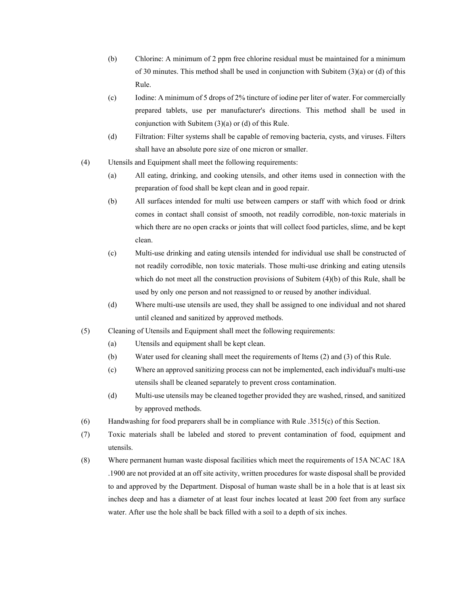- (b) Chlorine: A minimum of 2 ppm free chlorine residual must be maintained for a minimum of 30 minutes. This method shall be used in conjunction with Subitem (3)(a) or (d) of this Rule.
- (c) Iodine: A minimum of 5 drops of 2% tincture of iodine per liter of water. For commercially prepared tablets, use per manufacturer's directions. This method shall be used in conjunction with Subitem (3)(a) or (d) of this Rule.
- (d) Filtration: Filter systems shall be capable of removing bacteria, cysts, and viruses. Filters shall have an absolute pore size of one micron or smaller.
- (4) Utensils and Equipment shall meet the following requirements:
	- (a) All eating, drinking, and cooking utensils, and other items used in connection with the preparation of food shall be kept clean and in good repair.
	- (b) All surfaces intended for multi use between campers or staff with which food or drink comes in contact shall consist of smooth, not readily corrodible, non-toxic materials in which there are no open cracks or joints that will collect food particles, slime, and be kept clean.
	- (c) Multi-use drinking and eating utensils intended for individual use shall be constructed of not readily corrodible, non toxic materials. Those multi-use drinking and eating utensils which do not meet all the construction provisions of Subitem (4)(b) of this Rule, shall be used by only one person and not reassigned to or reused by another individual.
	- (d) Where multi-use utensils are used, they shall be assigned to one individual and not shared until cleaned and sanitized by approved methods.
- (5) Cleaning of Utensils and Equipment shall meet the following requirements:
	- (a) Utensils and equipment shall be kept clean.
	- (b) Water used for cleaning shall meet the requirements of Items (2) and (3) of this Rule.
	- (c) Where an approved sanitizing process can not be implemented, each individual's multi-use utensils shall be cleaned separately to prevent cross contamination.
	- (d) Multi-use utensils may be cleaned together provided they are washed, rinsed, and sanitized by approved methods.
- (6) Handwashing for food preparers shall be in compliance with Rule .3515(c) of this Section.
- (7) Toxic materials shall be labeled and stored to prevent contamination of food, equipment and utensils.
- (8) Where permanent human waste disposal facilities which meet the requirements of 15A NCAC 18A .1900 are not provided at an off site activity, written procedures for waste disposal shall be provided to and approved by the Department. Disposal of human waste shall be in a hole that is at least six inches deep and has a diameter of at least four inches located at least 200 feet from any surface water. After use the hole shall be back filled with a soil to a depth of six inches.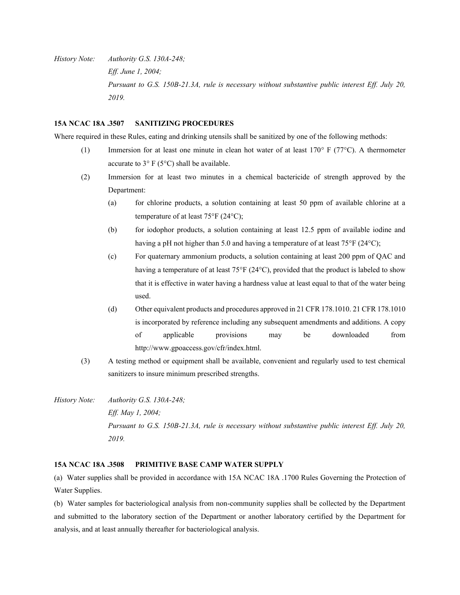*History Note: Authority G.S. 130A-248; Eff. June 1, 2004; Pursuant to G.S. 150B-21.3A, rule is necessary without substantive public interest Eff. July 20, 2019.*

## **15A NCAC 18A .3507 SANITIZING PROCEDURES**

Where required in these Rules, eating and drinking utensils shall be sanitized by one of the following methods:

- (1) Immersion for at least one minute in clean hot water of at least  $170^{\circ}$  F (77 $^{\circ}$ C). A thermometer accurate to  $3^{\circ}$  F (5 $^{\circ}$ C) shall be available.
- (2) Immersion for at least two minutes in a chemical bactericide of strength approved by the Department:
	- (a) for chlorine products, a solution containing at least 50 ppm of available chlorine at a temperature of at least  $75^{\circ}$ F (24 $^{\circ}$ C);
	- (b) for iodophor products, a solution containing at least 12.5 ppm of available iodine and having a pH not higher than 5.0 and having a temperature of at least  $75^{\circ}F(24^{\circ}C)$ ;
	- (c) For quaternary ammonium products, a solution containing at least 200 ppm of QAC and having a temperature of at least 75 $\degree$ F (24 $\degree$ C), provided that the product is labeled to show that it is effective in water having a hardness value at least equal to that of the water being used.
	- (d) Other equivalent products and procedures approved in 21 CFR 178.1010. 21 CFR 178.1010 is incorporated by reference including any subsequent amendments and additions. A copy of applicable provisions may be downloaded from http://www.gpoaccess.gov/cfr/index.html.
- (3) A testing method or equipment shall be available, convenient and regularly used to test chemical sanitizers to insure minimum prescribed strengths.
- *History Note: Authority G.S. 130A-248; Eff. May 1, 2004; Pursuant to G.S. 150B-21.3A, rule is necessary without substantive public interest Eff. July 20, 2019.*

## **15A NCAC 18A .3508 PRIMITIVE BASE CAMP WATER SUPPLY**

(a) Water supplies shall be provided in accordance with 15A NCAC 18A .1700 Rules Governing the Protection of Water Supplies.

(b) Water samples for bacteriological analysis from non-community supplies shall be collected by the Department and submitted to the laboratory section of the Department or another laboratory certified by the Department for analysis, and at least annually thereafter for bacteriological analysis.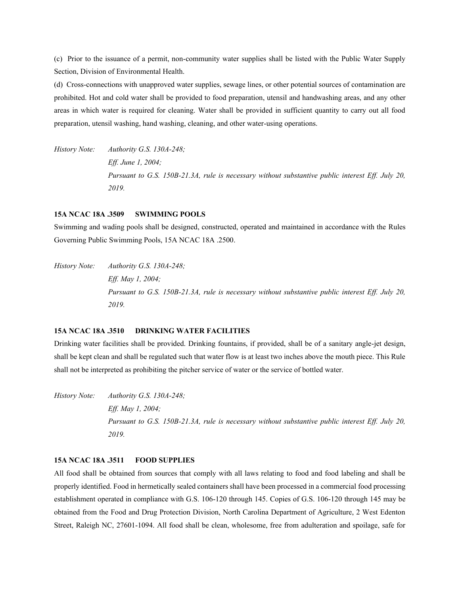(c) Prior to the issuance of a permit, non-community water supplies shall be listed with the Public Water Supply Section, Division of Environmental Health.

(d) Cross-connections with unapproved water supplies, sewage lines, or other potential sources of contamination are prohibited. Hot and cold water shall be provided to food preparation, utensil and handwashing areas, and any other areas in which water is required for cleaning. Water shall be provided in sufficient quantity to carry out all food preparation, utensil washing, hand washing, cleaning, and other water-using operations.

*History Note: Authority G.S. 130A-248; Eff. June 1, 2004; Pursuant to G.S. 150B-21.3A, rule is necessary without substantive public interest Eff. July 20, 2019.*

#### **15A NCAC 18A .3509 SWIMMING POOLS**

Swimming and wading pools shall be designed, constructed, operated and maintained in accordance with the Rules Governing Public Swimming Pools, 15A NCAC 18A .2500.

*History Note: Authority G.S. 130A-248; Eff. May 1, 2004; Pursuant to G.S. 150B-21.3A, rule is necessary without substantive public interest Eff. July 20, 2019.*

## **15A NCAC 18A .3510 DRINKING WATER FACILITIES**

Drinking water facilities shall be provided. Drinking fountains, if provided, shall be of a sanitary angle-jet design, shall be kept clean and shall be regulated such that water flow is at least two inches above the mouth piece. This Rule shall not be interpreted as prohibiting the pitcher service of water or the service of bottled water.

*History Note: Authority G.S. 130A-248; Eff. May 1, 2004; Pursuant to G.S. 150B-21.3A, rule is necessary without substantive public interest Eff. July 20, 2019.*

#### **15A NCAC 18A .3511 FOOD SUPPLIES**

All food shall be obtained from sources that comply with all laws relating to food and food labeling and shall be properly identified. Food in hermetically sealed containers shall have been processed in a commercial food processing establishment operated in compliance with G.S. 106-120 through 145. Copies of G.S. 106-120 through 145 may be obtained from the Food and Drug Protection Division, North Carolina Department of Agriculture, 2 West Edenton Street, Raleigh NC, 27601-1094. All food shall be clean, wholesome, free from adulteration and spoilage, safe for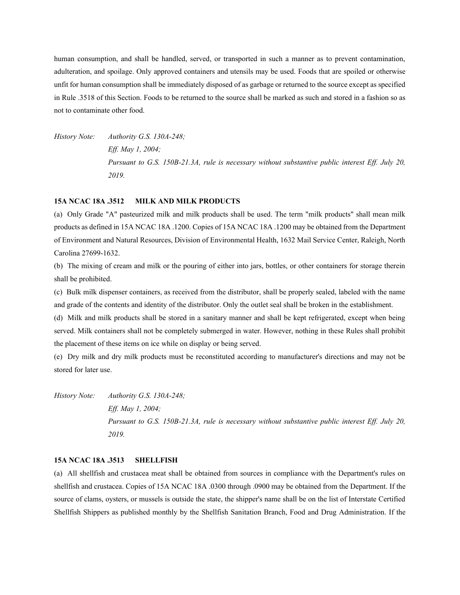human consumption, and shall be handled, served, or transported in such a manner as to prevent contamination, adulteration, and spoilage. Only approved containers and utensils may be used. Foods that are spoiled or otherwise unfit for human consumption shall be immediately disposed of as garbage or returned to the source except as specified in Rule .3518 of this Section. Foods to be returned to the source shall be marked as such and stored in a fashion so as not to contaminate other food.

*History Note: Authority G.S. 130A-248; Eff. May 1, 2004; Pursuant to G.S. 150B-21.3A, rule is necessary without substantive public interest Eff. July 20, 2019.*

#### **15A NCAC 18A .3512 MILK AND MILK PRODUCTS**

(a) Only Grade "A" pasteurized milk and milk products shall be used. The term "milk products" shall mean milk products as defined in 15A NCAC 18A .1200. Copies of 15A NCAC 18A .1200 may be obtained from the Department of Environment and Natural Resources, Division of Environmental Health, 1632 Mail Service Center, Raleigh, North Carolina 27699-1632.

(b) The mixing of cream and milk or the pouring of either into jars, bottles, or other containers for storage therein shall be prohibited.

(c) Bulk milk dispenser containers, as received from the distributor, shall be properly sealed, labeled with the name and grade of the contents and identity of the distributor. Only the outlet seal shall be broken in the establishment.

(d) Milk and milk products shall be stored in a sanitary manner and shall be kept refrigerated, except when being served. Milk containers shall not be completely submerged in water. However, nothing in these Rules shall prohibit the placement of these items on ice while on display or being served.

(e) Dry milk and dry milk products must be reconstituted according to manufacturer's directions and may not be stored for later use.

*History Note: Authority G.S. 130A-248; Eff. May 1, 2004; Pursuant to G.S. 150B-21.3A, rule is necessary without substantive public interest Eff. July 20, 2019.*

#### **15A NCAC 18A .3513 SHELLFISH**

(a) All shellfish and crustacea meat shall be obtained from sources in compliance with the Department's rules on shellfish and crustacea. Copies of 15A NCAC 18A .0300 through .0900 may be obtained from the Department. If the source of clams, oysters, or mussels is outside the state, the shipper's name shall be on the list of Interstate Certified Shellfish Shippers as published monthly by the Shellfish Sanitation Branch, Food and Drug Administration. If the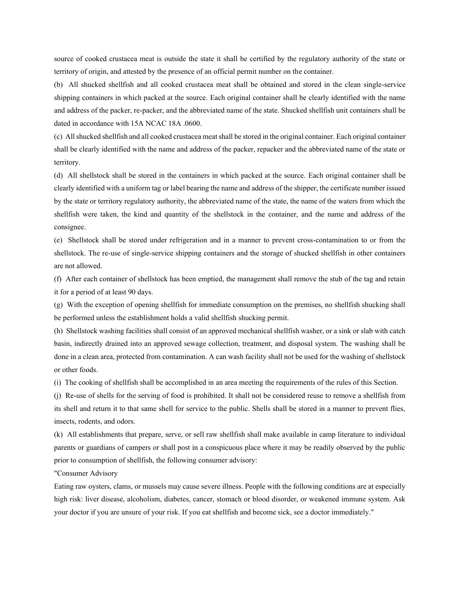source of cooked crustacea meat is outside the state it shall be certified by the regulatory authority of the state or territory of origin, and attested by the presence of an official permit number on the container.

(b) All shucked shellfish and all cooked crustacea meat shall be obtained and stored in the clean single-service shipping containers in which packed at the source. Each original container shall be clearly identified with the name and address of the packer, re-packer, and the abbreviated name of the state. Shucked shellfish unit containers shall be dated in accordance with 15A NCAC 18A .0600.

(c) All shucked shellfish and all cooked crustacea meat shall be stored in the original container. Each original container shall be clearly identified with the name and address of the packer, repacker and the abbreviated name of the state or territory.

(d) All shellstock shall be stored in the containers in which packed at the source. Each original container shall be clearly identified with a uniform tag or label bearing the name and address of the shipper, the certificate number issued by the state or territory regulatory authority, the abbreviated name of the state, the name of the waters from which the shellfish were taken, the kind and quantity of the shellstock in the container, and the name and address of the consignee.

(e) Shellstock shall be stored under refrigeration and in a manner to prevent cross-contamination to or from the shellstock. The re-use of single-service shipping containers and the storage of shucked shellfish in other containers are not allowed.

(f) After each container of shellstock has been emptied, the management shall remove the stub of the tag and retain it for a period of at least 90 days.

(g) With the exception of opening shellfish for immediate consumption on the premises, no shellfish shucking shall be performed unless the establishment holds a valid shellfish shucking permit.

(h) Shellstock washing facilities shall consist of an approved mechanical shellfish washer, or a sink or slab with catch basin, indirectly drained into an approved sewage collection, treatment, and disposal system. The washing shall be done in a clean area, protected from contamination. A can wash facility shall not be used for the washing of shellstock or other foods.

(i) The cooking of shellfish shall be accomplished in an area meeting the requirements of the rules of this Section.

(j) Re-use of shells for the serving of food is prohibited. It shall not be considered reuse to remove a shellfish from its shell and return it to that same shell for service to the public. Shells shall be stored in a manner to prevent flies, insects, rodents, and odors.

(k) All establishments that prepare, serve, or sell raw shellfish shall make available in camp literature to individual parents or guardians of campers or shall post in a conspicuous place where it may be readily observed by the public prior to consumption of shellfish, the following consumer advisory:

"Consumer Advisory

Eating raw oysters, clams, or mussels may cause severe illness. People with the following conditions are at especially high risk: liver disease, alcoholism, diabetes, cancer, stomach or blood disorder, or weakened immune system. Ask your doctor if you are unsure of your risk. If you eat shellfish and become sick, see a doctor immediately."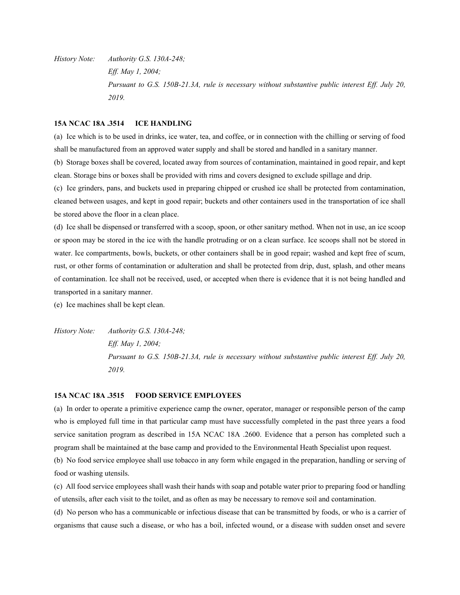*History Note: Authority G.S. 130A-248; Eff. May 1, 2004; Pursuant to G.S. 150B-21.3A, rule is necessary without substantive public interest Eff. July 20, 2019.*

#### **15A NCAC 18A .3514 ICE HANDLING**

(a) Ice which is to be used in drinks, ice water, tea, and coffee, or in connection with the chilling or serving of food shall be manufactured from an approved water supply and shall be stored and handled in a sanitary manner.

(b) Storage boxes shall be covered, located away from sources of contamination, maintained in good repair, and kept clean. Storage bins or boxes shall be provided with rims and covers designed to exclude spillage and drip.

(c) Ice grinders, pans, and buckets used in preparing chipped or crushed ice shall be protected from contamination, cleaned between usages, and kept in good repair; buckets and other containers used in the transportation of ice shall be stored above the floor in a clean place.

(d) Ice shall be dispensed or transferred with a scoop, spoon, or other sanitary method. When not in use, an ice scoop or spoon may be stored in the ice with the handle protruding or on a clean surface. Ice scoops shall not be stored in water. Ice compartments, bowls, buckets, or other containers shall be in good repair; washed and kept free of scum, rust, or other forms of contamination or adulteration and shall be protected from drip, dust, splash, and other means of contamination. Ice shall not be received, used, or accepted when there is evidence that it is not being handled and transported in a sanitary manner.

(e) Ice machines shall be kept clean.

*History Note: Authority G.S. 130A-248; Eff. May 1, 2004; Pursuant to G.S. 150B-21.3A, rule is necessary without substantive public interest Eff. July 20, 2019.*

#### **15A NCAC 18A .3515 FOOD SERVICE EMPLOYEES**

(a) In order to operate a primitive experience camp the owner, operator, manager or responsible person of the camp who is employed full time in that particular camp must have successfully completed in the past three years a food service sanitation program as described in 15A NCAC 18A .2600. Evidence that a person has completed such a program shall be maintained at the base camp and provided to the Environmental Heath Specialist upon request.

(b) No food service employee shall use tobacco in any form while engaged in the preparation, handling or serving of food or washing utensils.

(c) All food service employees shall wash their hands with soap and potable water prior to preparing food or handling of utensils, after each visit to the toilet, and as often as may be necessary to remove soil and contamination.

(d) No person who has a communicable or infectious disease that can be transmitted by foods, or who is a carrier of organisms that cause such a disease, or who has a boil, infected wound, or a disease with sudden onset and severe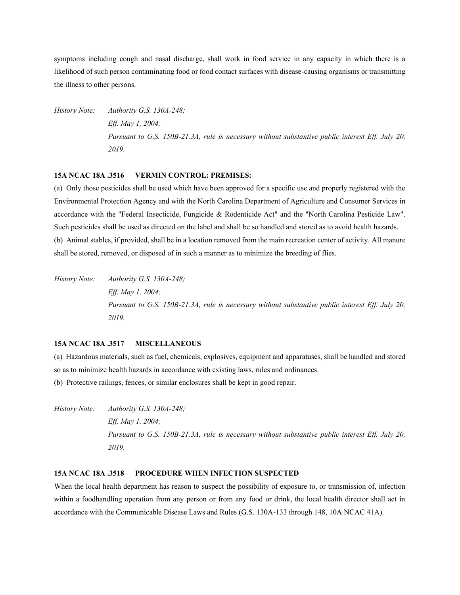symptoms including cough and nasal discharge, shall work in food service in any capacity in which there is a likelihood of such person contaminating food or food contact surfaces with disease-causing organisms or transmitting the illness to other persons.

*History Note: Authority G.S. 130A-248; Eff. May 1, 2004; Pursuant to G.S. 150B-21.3A, rule is necessary without substantive public interest Eff. July 20, 2019.*

## **15A NCAC 18A .3516 VERMIN CONTROL: PREMISES:**

(a) Only those pesticides shall be used which have been approved for a specific use and properly registered with the Environmental Protection Agency and with the North Carolina Department of Agriculture and Consumer Services in accordance with the "Federal Insecticide, Fungicide & Rodenticide Act" and the "North Carolina Pesticide Law". Such pesticides shall be used as directed on the label and shall be so handled and stored as to avoid health hazards. (b) Animal stables, if provided, shall be in a location removed from the main recreation center of activity. All manure shall be stored, removed, or disposed of in such a manner as to minimize the breeding of flies.

*History Note: Authority G.S. 130A-248; Eff. May 1, 2004; Pursuant to G.S. 150B-21.3A, rule is necessary without substantive public interest Eff. July 20, 2019.*

# **15A NCAC 18A .3517 MISCELLANEOUS**

(a) Hazardous materials, such as fuel, chemicals, explosives, equipment and apparatuses, shall be handled and stored so as to minimize health hazards in accordance with existing laws, rules and ordinances.

(b) Protective railings, fences, or similar enclosures shall be kept in good repair.

*History Note: Authority G.S. 130A-248; Eff. May 1, 2004; Pursuant to G.S. 150B-21.3A, rule is necessary without substantive public interest Eff. July 20, 2019.*

## **15A NCAC 18A .3518 PROCEDURE WHEN INFECTION SUSPECTED**

When the local health department has reason to suspect the possibility of exposure to, or transmission of, infection within a foodhandling operation from any person or from any food or drink, the local health director shall act in accordance with the Communicable Disease Laws and Rules (G.S. 130A-133 through 148, 10A NCAC 41A).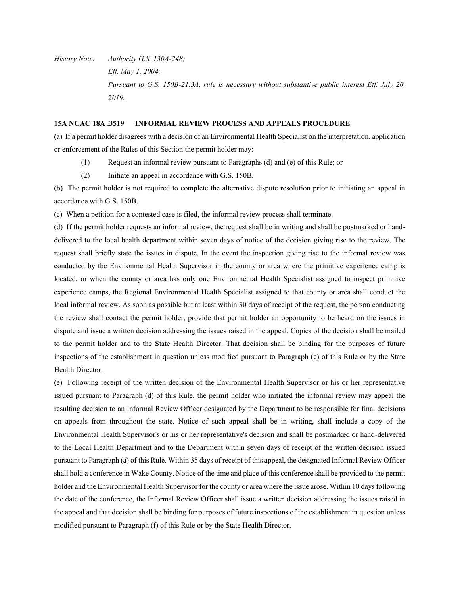*History Note: Authority G.S. 130A-248; Eff. May 1, 2004; Pursuant to G.S. 150B-21.3A, rule is necessary without substantive public interest Eff. July 20, 2019.*

## **15A NCAC 18A .3519 INFORMAL REVIEW PROCESS AND APPEALS PROCEDURE**

(a) If a permit holder disagrees with a decision of an Environmental Health Specialist on the interpretation, application or enforcement of the Rules of this Section the permit holder may:

- (1) Request an informal review pursuant to Paragraphs (d) and (e) of this Rule; or
- (2) Initiate an appeal in accordance with G.S. 150B.

(b) The permit holder is not required to complete the alternative dispute resolution prior to initiating an appeal in accordance with G.S. 150B.

(c) When a petition for a contested case is filed, the informal review process shall terminate.

(d) If the permit holder requests an informal review, the request shall be in writing and shall be postmarked or handdelivered to the local health department within seven days of notice of the decision giving rise to the review. The request shall briefly state the issues in dispute. In the event the inspection giving rise to the informal review was conducted by the Environmental Health Supervisor in the county or area where the primitive experience camp is located, or when the county or area has only one Environmental Health Specialist assigned to inspect primitive experience camps, the Regional Environmental Health Specialist assigned to that county or area shall conduct the local informal review. As soon as possible but at least within 30 days of receipt of the request, the person conducting the review shall contact the permit holder, provide that permit holder an opportunity to be heard on the issues in dispute and issue a written decision addressing the issues raised in the appeal. Copies of the decision shall be mailed to the permit holder and to the State Health Director. That decision shall be binding for the purposes of future inspections of the establishment in question unless modified pursuant to Paragraph (e) of this Rule or by the State Health Director.

(e) Following receipt of the written decision of the Environmental Health Supervisor or his or her representative issued pursuant to Paragraph (d) of this Rule, the permit holder who initiated the informal review may appeal the resulting decision to an Informal Review Officer designated by the Department to be responsible for final decisions on appeals from throughout the state. Notice of such appeal shall be in writing, shall include a copy of the Environmental Health Supervisor's or his or her representative's decision and shall be postmarked or hand-delivered to the Local Health Department and to the Department within seven days of receipt of the written decision issued pursuant to Paragraph (a) of this Rule. Within 35 days of receipt of this appeal, the designated Informal Review Officer shall hold a conference in Wake County. Notice of the time and place of this conference shall be provided to the permit holder and the Environmental Health Supervisor for the county or area where the issue arose. Within 10 days following the date of the conference, the Informal Review Officer shall issue a written decision addressing the issues raised in the appeal and that decision shall be binding for purposes of future inspections of the establishment in question unless modified pursuant to Paragraph (f) of this Rule or by the State Health Director.